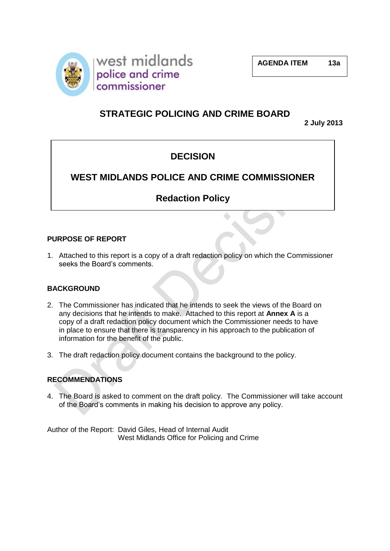

# **STRATEGIC POLICING AND CRIME BOARD**

**2 July 2013**

# **DECISION**

# **WEST MIDLANDS POLICE AND CRIME COMMISSIONER**

# **Redaction Policy**

# **PURPOSE OF REPORT**

1. Attached to this report is a copy of a draft redaction policy on which the Commissioner seeks the Board's comments.

## **BACKGROUND**

- 2. The Commissioner has indicated that he intends to seek the views of the Board on any decisions that he intends to make. Attached to this report at **Annex A** is a copy of a draft redaction policy document which the Commissioner needs to have in place to ensure that there is transparency in his approach to the publication of information for the benefit of the public.
- 3. The draft redaction policy document contains the background to the policy.

# **RECOMMENDATIONS**

4. The Board is asked to comment on the draft policy. The Commissioner will take account of the Board's comments in making his decision to approve any policy.

Author of the Report: David Giles, Head of Internal Audit West Midlands Office for Policing and Crime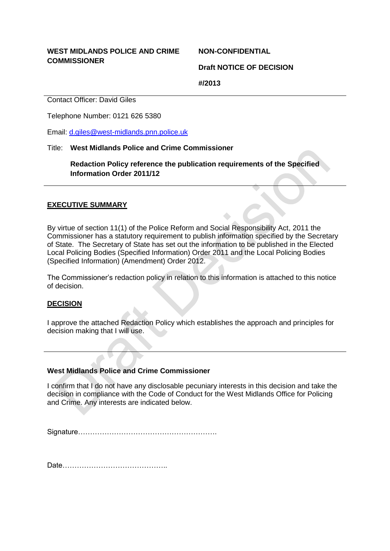## **WEST MIDLANDS POLICE AND CRIME COMMISSIONER**

**NON-CONFIDENTIAL** 

**Draft NOTICE OF DECISION**

**#/2013**

Contact Officer: David Giles

Telephone Number: 0121 626 5380

Email: d.giles@west-midlands.pnn.police.uk

## Title: **West Midlands Police and Crime Commissioner**

**Redaction Policy reference the publication requirements of the Specified Information Order 2011/12**

# **EXECUTIVE SUMMARY**

By virtue of section 11(1) of the Police Reform and Social Responsibility Act, 2011 the Commissioner has a statutory requirement to publish information specified by the Secretary of State. The Secretary of State has set out the information to be published in the Elected Local Policing Bodies (Specified Information) Order 2011 and the Local Policing Bodies (Specified Information) (Amendment) Order 2012.

The Commissioner's redaction policy in relation to this information is attached to this notice of decision.

## **DECISION**

I approve the attached Redaction Policy which establishes the approach and principles for decision making that I will use.

## **West Midlands Police and Crime Commissioner**

I confirm that I do not have any disclosable pecuniary interests in this decision and take the decision in compliance with the Code of Conduct for the West Midlands Office for Policing and Crime. Any interests are indicated below.

Signature………………………………………………….

Date……………………………………..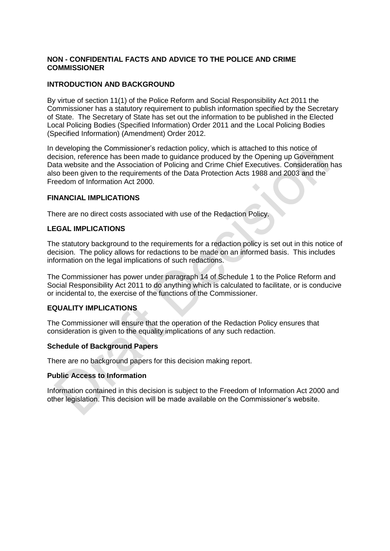## **NON - CONFIDENTIAL FACTS AND ADVICE TO THE POLICE AND CRIME COMMISSIONER**

## **INTRODUCTION AND BACKGROUND**

By virtue of section 11(1) of the Police Reform and Social Responsibility Act 2011 the Commissioner has a statutory requirement to publish information specified by the Secretary of State. The Secretary of State has set out the information to be published in the Elected Local Policing Bodies (Specified Information) Order 2011 and the Local Policing Bodies (Specified Information) (Amendment) Order 2012.

In developing the Commissioner's redaction policy, which is attached to this notice of decision, reference has been made to guidance produced by the Opening up Government Data website and the Association of Policing and Crime Chief Executives. Consideration has also been given to the requirements of the Data Protection Acts 1988 and 2003 and the Freedom of Information Act 2000.

## **FINANCIAL IMPLICATIONS**

There are no direct costs associated with use of the Redaction Policy.

## **LEGAL IMPLICATIONS**

The statutory background to the requirements for a redaction policy is set out in this notice of decision. The policy allows for redactions to be made on an informed basis. This includes information on the legal implications of such redactions.

The Commissioner has power under paragraph 14 of Schedule 1 to the Police Reform and Social Responsibility Act 2011 to do anything which is calculated to facilitate, or is conducive or incidental to, the exercise of the functions of the Commissioner.

## **EQUALITY IMPLICATIONS**

The Commissioner will ensure that the operation of the Redaction Policy ensures that consideration is given to the equality implications of any such redaction.

#### **Schedule of Background Papers**

There are no background papers for this decision making report.

#### **Public Access to Information**

Information contained in this decision is subject to the Freedom of Information Act 2000 and other legislation. This decision will be made available on the Commissioner's website.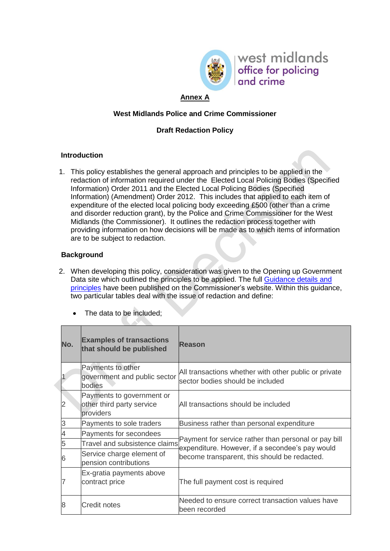

west midlands office for policing and crime

# **Annex A**

## **West Midlands Police and Crime Commissioner**

# **Draft Redaction Policy**

## **Introduction**

1. This policy establishes the general approach and principles to be applied in the redaction of information required under the Elected Local Policing Bodies (Specified Information) Order 2011 and the Elected Local Policing Bodies (Specified Information) (Amendment) Order 2012. This includes that applied to each item of expenditure of the elected local policing body exceeding £500 (other than a crime and disorder reduction grant), by the Police and Crime Commissioner for the West Midlands (the Commissioner). It outlines the redaction process together with providing information on how decisions will be made as to which items of information are to be subject to redaction.

## **Background**

- 2. When developing this policy, consideration was given to the Opening up Government Data site which outlined the principles to be applied. The full [Guidance details and](http://data.gov.uk/blog/local-spending-data-guidance)  [principles](http://data.gov.uk/blog/local-spending-data-guidance) have been published on the Commissioner's website. Within this guidance, two particular tables deal with the issue of redaction and define:
	- The data to be included:

| No.                      | <b>Examples of transactions</b><br>that should be published         | Reason                                                                                                  |  |
|--------------------------|---------------------------------------------------------------------|---------------------------------------------------------------------------------------------------------|--|
|                          | Payments to other<br>government and public sector<br>bodies         | All transactions whether with other public or private<br>sector bodies should be included               |  |
| $\overline{2}$           | Payments to government or<br>other third party service<br>providers | All transactions should be included                                                                     |  |
| 3                        | Payments to sole traders                                            | Business rather than personal expenditure                                                               |  |
| $\overline{\mathcal{A}}$ | Payments for secondees                                              |                                                                                                         |  |
| 5                        | Travel and subsistence claims                                       | Payment for service rather than personal or pay bill<br>expenditure. However, if a secondee's pay would |  |
| 6                        | Service charge element of<br>pension contributions                  | become transparent, this should be redacted.                                                            |  |
|                          | Ex-gratia payments above<br>contract price                          | The full payment cost is required                                                                       |  |
| 8                        | <b>Credit notes</b>                                                 | Needed to ensure correct transaction values have<br>been recorded                                       |  |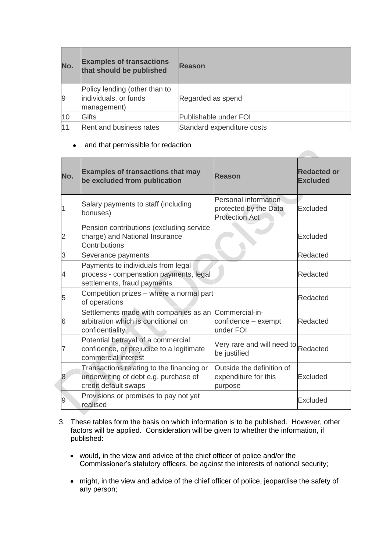| No.            | <b>Examples of transactions</b><br>that should be published           | <b>Reason</b>              |
|----------------|-----------------------------------------------------------------------|----------------------------|
| $\overline{9}$ | Policy lending (other than to<br>individuals, or funds<br>management) | Regarded as spend          |
| 10             | <b>Gifts</b>                                                          | Publishable under FOI      |
| 11             | Rent and business rates                                               | Standard expenditure costs |

## • and that permissible for redaction

| No. | <b>Examples of transactions that may</b><br>be excluded from publication                                       | <b>Reason</b>                                                          | <b>Redacted or</b><br><b>Excluded</b> |
|-----|----------------------------------------------------------------------------------------------------------------|------------------------------------------------------------------------|---------------------------------------|
|     | Salary payments to staff (including<br>bonuses)                                                                | Personal information<br>protected by the Data<br><b>Protection Act</b> | Excluded                              |
| 2   | Pension contributions (excluding service<br>charge) and National Insurance<br>Contributions                    |                                                                        | Excluded                              |
| 3   | Severance payments                                                                                             |                                                                        | Redacted                              |
| 4   | Payments to individuals from legal<br>process - compensation payments, legal<br>settlements, fraud payments    |                                                                        | Redacted                              |
| 5   | Competition prizes - where a normal part<br>of operations                                                      |                                                                        | Redacted                              |
| 6   | Settlements made with companies as an Commercial-in-<br>arbitration which is conditional on<br>confidentiality | confidence - exempt<br>under FOI                                       | Redacted                              |
| 7   | Potential betrayal of a commercial<br>confidence, or prejudice to a legitimate<br>commercial interest          | Very rare and will need to Redacted<br>be justified                    |                                       |
| 8   | Transactions relating to the financing or<br>underwriting of debt e.g. purchase of<br>credit default swaps     | Outside the definition of<br>expenditure for this<br>purpose           | <b>Excluded</b>                       |
| 9   | Provisions or promises to pay not yet<br>realised                                                              |                                                                        | <b>Excluded</b>                       |

- 3. These tables form the basis on which information is to be published. However, other factors will be applied. Consideration will be given to whether the information, if published:
	- would, in the view and advice of the chief officer of police and/or the Commissioner's statutory officers, be against the interests of national security;
	- might, in the view and advice of the chief officer of police, jeopardise the safety of any person;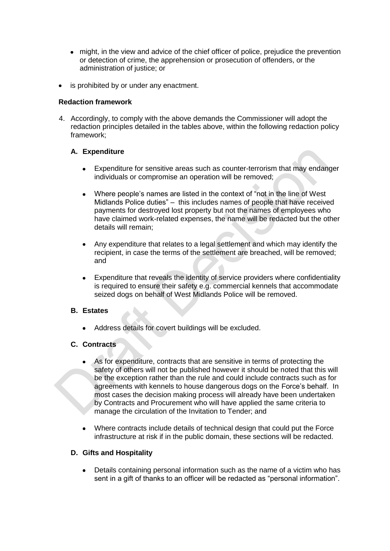- might, in the view and advice of the chief officer of police, prejudice the prevention or detection of crime, the apprehension or prosecution of offenders, or the administration of justice; or
- is prohibited by or under any enactment.

## **Redaction framework**

4. Accordingly, to comply with the above demands the Commissioner will adopt the redaction principles detailed in the tables above, within the following redaction policy framework;

# **A. Expenditure**

- Expenditure for sensitive areas such as counter-terrorism that may endanger individuals or compromise an operation will be removed;
- Where people's names are listed in the context of "not in the line of West  $\bullet$ Midlands Police duties" – this includes names of people that have received payments for destroyed lost property but not the names of employees who have claimed work-related expenses, the name will be redacted but the other details will remain;
- Any expenditure that relates to a legal settlement and which may identify the recipient, in case the terms of the settlement are breached, will be removed; and
- Expenditure that reveals the identity of service providers where confidentiality is required to ensure their safety e.g. commercial kennels that accommodate seized dogs on behalf of West Midlands Police will be removed.

## **B. Estates**

Address details for covert buildings will be excluded.

## **C. Contracts**

- As for expenditure, contracts that are sensitive in terms of protecting the safety of others will not be published however it should be noted that this will be the exception rather than the rule and could include contracts such as for agreements with kennels to house dangerous dogs on the Force's behalf. In most cases the decision making process will already have been undertaken by Contracts and Procurement who will have applied the same criteria to manage the circulation of the Invitation to Tender; and
- Where contracts include details of technical design that could put the Force infrastructure at risk if in the public domain, these sections will be redacted.

## **D. Gifts and Hospitality**

Details containing personal information such as the name of a victim who has sent in a gift of thanks to an officer will be redacted as "personal information".